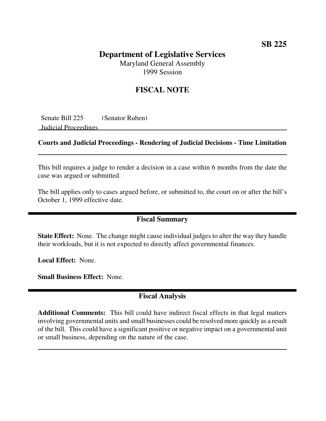# **Department of Legislative Services**

Maryland General Assembly 1999 Session

## **FISCAL NOTE**

Senate Bill 225 (Senator Ruben) Judicial Proceedings

#### **Courts and Judicial Proceedings - Rendering of Judicial Decisions - Time Limitation**

This bill requires a judge to render a decision in a case within 6 months from the date the case was argued or submitted.

The bill applies only to cases argued before, or submitted to, the court on or after the bill's October 1, 1999 effective date.

### **Fiscal Summary**

**State Effect:** None. The change might cause individual judges to alter the way they handle their workloads, but it is not expected to directly affect governmental finances.

**Local Effect:** None.

**Small Business Effect:** None.

## **Fiscal Analysis**

**Additional Comments:** This bill could have indirect fiscal effects in that legal matters involving governmental units and small businesses could be resolved more quickly as a result of the bill. This could have a significant positive or negative impact on a governmental unit or small business, depending on the nature of the case.